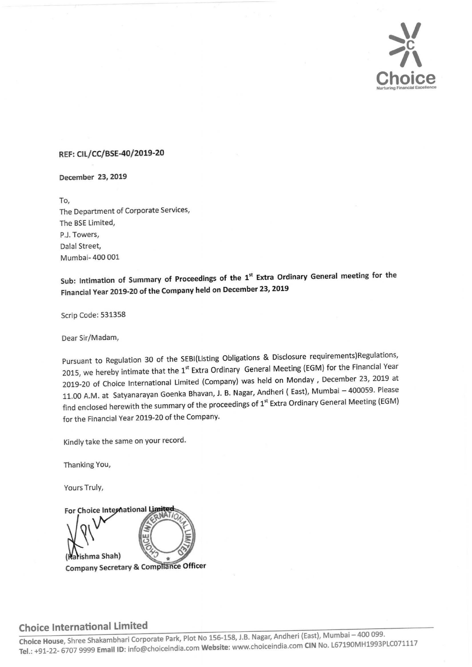

## REF: CIL/CC/BSE-40/2019-20

December 23, 2019

To, The Department of Corporate Services, The BSE Limited, P.J. Towers, Dalal Street, Mumbai- 400 001

Sub: Intimation of Summary of Proceedings of the 1<sup>st</sup> Extra Ordinary General meeting for the Financial Year 2019-20 of the Company held on December 23, <sup>2019</sup>

Scrip Code: 531358

Dear Sir/Madam,

Pursuant to Regulation 30 of the SEBI(Listing Obligations & Disclosure requirements)Regulations, 2015, we hereby intimate that the 1<sup>st</sup> Extra Ordinary General Meeting (EGM) for the Financial Year 2019-20 of Choice International Limited (Company) was held on Monday , December 23, 2019 at 11.00 A.M. at Satyanarayan Goenka Bhavan, J. B. Nagar, Andheri ( East), Mumbai — 400059. Please find enclosed herewith the summary of the proceedings of 1<sup>st</sup> Extra Ordinary General Meeting (EGM) for the Financial Year 2019-20 of the Company.

Kindly take the same on your record.

Thanking You,

Yours Truly,



# Choice International Limited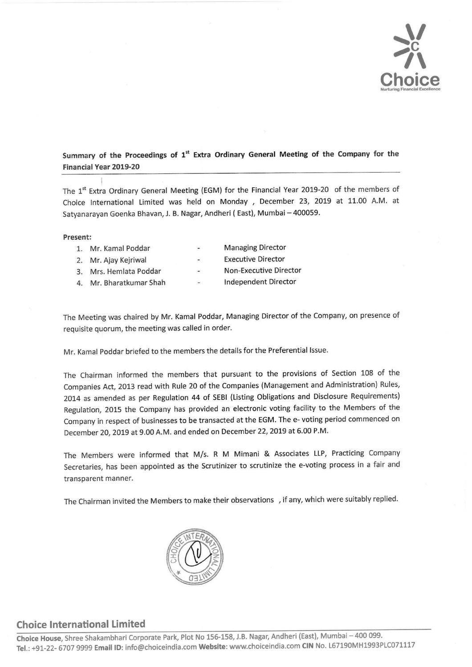

# Summary of the Proceedings of 1\* Extra Ordinary General Meeting of the Company for the Summary of the Proceedings of 1<sup>st</sup> Extra Ordina<br>Financial Year 2019-20 Financial Year 2019-20

The 1<sup>st</sup> Extra Ordinary General Meeting (EGM) for the Financial Year 2019-20 of the members of Choice International Limited was held on Monday , December 23, 2019 at 11.00 A.M. at Satyanarayan Goenka Bhavan, J. B. Nagar, Andheri ( East), Mumbai — 400059.

### Present:

| 1. | Mr. Kamal Poddar        | $\overline{\phantom{a}}$ | <b>Managing Director</b>  |
|----|-------------------------|--------------------------|---------------------------|
|    | 2. Mr. Ajay Kejriwal    | $\overline{\phantom{a}}$ | <b>Executive Director</b> |
|    | 3. Mrs. Hemlata Poddar  | $\overline{\phantom{a}}$ | Non-Executive Director    |
|    | 4. Mr. Bharatkumar Shah | $\overline{\phantom{a}}$ | Independent Director      |
|    |                         |                          |                           |

The Meeting was chaired by Mr. Kamal Poddar, Managing Director of the Company, on presence of requisite quorum, the meeting was called in order.

Mr. Kamal Poddar briefed to the members the details for the Preferential Issue.

The Chairman informed the members that pursuant to the provisions of Section 108 of the Companies Act, 2013 read with Rule 20 of the Companies (Management and Administration) Rules, 2014 as amended as per Regulation 44 of SEBI (Listing Obligations and Disclosure Requirements) Regulation, 2015 the Company has provided an electronic voting facility to the Members of the Company in respect of businesses to be transacted at the EGM. The e- voting period commenced on December 20, 2019 at 9.00 A.M. and ended on December 22, 2019 at 6.00 P.M.

The Members were informed that M/s. R M Mimani & Associates LLP, Practicing Company Secretaries, has been appointed as the Scrutinizer to scrutinize the e-voting process in a fair and transparent manner.

The Chairman invited the Members to make their observations \_, if any, which were suitably replied.



# Choice International Limited